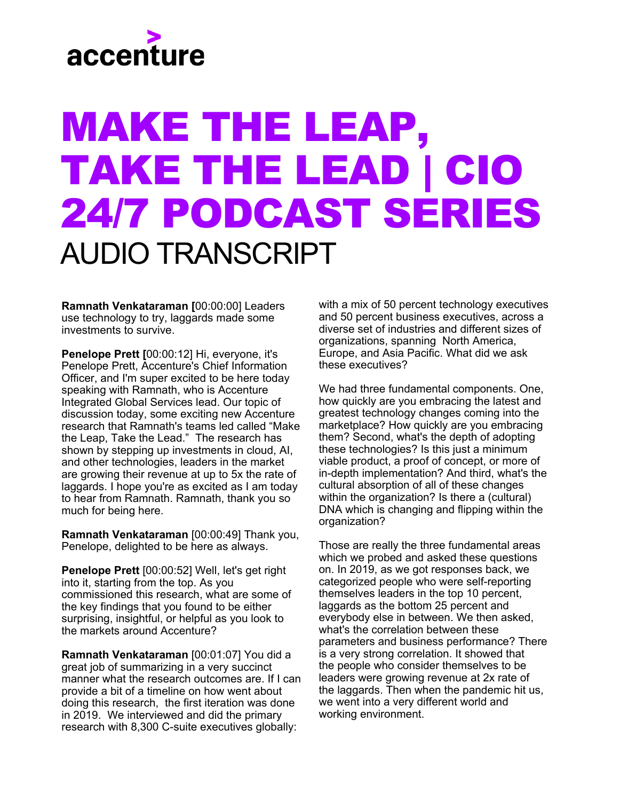## accenture

## MAKE THE LEAP, TAKE THE LEAD | CIO 24/7 PODCAST SERIES AUDIO TRANSCRIPT

**Ramnath Venkataraman [**00:00:00] Leaders use technology to try, laggards made some investments to survive.

**Penelope Prett [**00:00:12] Hi, everyone, it's Penelope Prett, Accenture's Chief Information Officer, and I'm super excited to be here today speaking with Ramnath, who is Accenture Integrated Global Services lead. Our topic of discussion today, some exciting new Accenture research that Ramnath's teams led called "Make the Leap, Take the Lead." The research has shown by stepping up investments in cloud, AI, and other technologies, leaders in the market are growing their revenue at up to 5x the rate of laggards. I hope you're as excited as I am today to hear from Ramnath. Ramnath, thank you so much for being here.

**Ramnath Venkataraman** [00:00:49] Thank you, Penelope, delighted to be here as always.

**Penelope Prett** [00:00:52] Well, let's get right into it, starting from the top. As you commissioned this research, what are some of the key findings that you found to be either surprising, insightful, or helpful as you look to the markets around Accenture?

**Ramnath Venkataraman** [00:01:07] You did a great job of summarizing in a very succinct manner what the research outcomes are. If I can provide a bit of a timeline on how went about doing this research, the first iteration was done in 2019. We interviewed and did the primary research with 8,300 C-suite executives globally:

with a mix of 50 percent technology executives and 50 percent business executives, across a diverse set of industries and different sizes of organizations, spanning North America, Europe, and Asia Pacific. What did we ask these executives?

We had three fundamental components. One, how quickly are you embracing the latest and greatest technology changes coming into the marketplace? How quickly are you embracing them? Second, what's the depth of adopting these technologies? Is this just a minimum viable product, a proof of concept, or more of in-depth implementation? And third, what's the cultural absorption of all of these changes within the organization? Is there a (cultural) DNA which is changing and flipping within the organization?

Those are really the three fundamental areas which we probed and asked these questions on. In 2019, as we got responses back, we categorized people who were self-reporting themselves leaders in the top 10 percent, laggards as the bottom 25 percent and everybody else in between. We then asked, what's the correlation between these parameters and business performance? There is a very strong correlation. It showed that the people who consider themselves to be leaders were growing revenue at 2x rate of the laggards. Then when the pandemic hit us, we went into a very different world and working environment.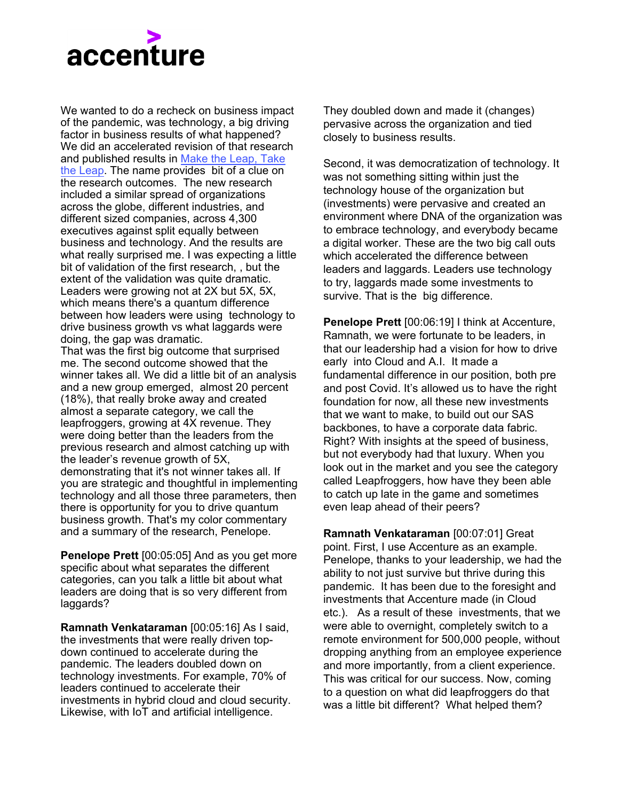

We wanted to do a recheck on business impact of the pandemic, was technology, a big driving factor in business results of what happened? We did an accelerated revision of that research [and published results in Make the Leap, Take](https://www.accenture.com/us-en/insights/technology/scaling-enterprise-digital-transformation)  the Leap. The name provides bit of a clue on the research outcomes. The new research included a similar spread of organizations across the globe, different industries, and different sized companies, across 4,300 executives against split equally between business and technology. And the results are what really surprised me. I was expecting a little bit of validation of the first research, , but the extent of the validation was quite dramatic. Leaders were growing not at 2X but 5X, 5X, which means there's a quantum difference between how leaders were using technology to drive business growth vs what laggards were doing, the gap was dramatic.

That was the first big outcome that surprised me. The second outcome showed that the winner takes all. We did a little bit of an analysis and a new group emerged, almost 20 percent (18%), that really broke away and created almost a separate category, we call the leapfroggers, growing at 4X revenue. They were doing better than the leaders from the previous research and almost catching up with the leader's revenue growth of 5X, demonstrating that it's not winner takes all. If you are strategic and thoughtful in implementing technology and all those three parameters, then there is opportunity for you to drive quantum business growth. That's my color commentary and a summary of the research, Penelope.

**Penelope Prett** [00:05:05] And as you get more specific about what separates the different categories, can you talk a little bit about what leaders are doing that is so very different from laggards?

**Ramnath Venkataraman** [00:05:16] As I said, the investments that were really driven topdown continued to accelerate during the pandemic. The leaders doubled down on technology investments. For example, 70% of leaders continued to accelerate their investments in hybrid cloud and cloud security. Likewise, with IoT and artificial intelligence.

They doubled down and made it (changes) pervasive across the organization and tied closely to business results.

Second, it was democratization of technology. It was not something sitting within just the technology house of the organization but (investments) were pervasive and created an environment where DNA of the organization was to embrace technology, and everybody became a digital worker. These are the two big call outs which accelerated the difference between leaders and laggards. Leaders use technology to try, laggards made some investments to survive. That is the big difference.

**Penelope Prett** [00:06:19] I think at Accenture, Ramnath, we were fortunate to be leaders, in that our leadership had a vision for how to drive early into Cloud and A.I. It made a fundamental difference in our position, both pre and post Covid. It's allowed us to have the right foundation for now, all these new investments that we want to make, to build out our SAS backbones, to have a corporate data fabric. Right? With insights at the speed of business, but not everybody had that luxury. When you look out in the market and you see the category called Leapfroggers, how have they been able to catch up late in the game and sometimes even leap ahead of their peers?

**Ramnath Venkataraman** [00:07:01] Great point. First, I use Accenture as an example. Penelope, thanks to your leadership, we had the ability to not just survive but thrive during this pandemic. It has been due to the foresight and investments that Accenture made (in Cloud etc.). As a result of these investments, that we were able to overnight, completely switch to a remote environment for 500,000 people, without dropping anything from an employee experience and more importantly, from a client experience. This was critical for our success. Now, coming to a question on what did leapfroggers do that was a little bit different? What helped them?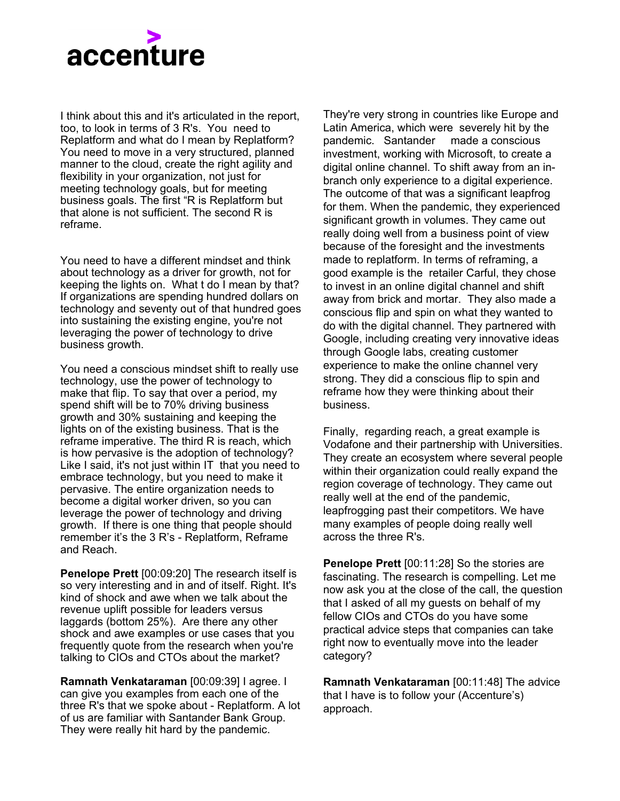

I think about this and it's articulated in the report, too, to look in terms of 3 R's. You need to Replatform and what do I mean by Replatform? You need to move in a very structured, planned manner to the cloud, create the right agility and flexibility in your organization, not just for meeting technology goals, but for meeting business goals. The first "R is Replatform but that alone is not sufficient. The second R is reframe.

You need to have a different mindset and think about technology as a driver for growth, not for keeping the lights on. What t do I mean by that? If organizations are spending hundred dollars on technology and seventy out of that hundred goes into sustaining the existing engine, you're not leveraging the power of technology to drive business growth.

You need a conscious mindset shift to really use technology, use the power of technology to make that flip. To say that over a period, my spend shift will be to 70% driving business growth and 30% sustaining and keeping the lights on of the existing business. That is the reframe imperative. The third R is reach, which is how pervasive is the adoption of technology? Like I said, it's not just within IT that you need to embrace technology, but you need to make it pervasive. The entire organization needs to become a digital worker driven, so you can leverage the power of technology and driving growth. If there is one thing that people should remember it's the 3 R's - Replatform, Reframe and Reach.

**Penelope Prett** [00:09:20] The research itself is so very interesting and in and of itself. Right. It's kind of shock and awe when we talk about the revenue uplift possible for leaders versus laggards (bottom 25%). Are there any other shock and awe examples or use cases that you frequently quote from the research when you're talking to CIOs and CTOs about the market?

**Ramnath Venkataraman** [00:09:39] I agree. I can give you examples from each one of the three R's that we spoke about - Replatform. A lot of us are familiar with Santander Bank Group. They were really hit hard by the pandemic.

They're very strong in countries like Europe and Latin America, which were severely hit by the pandemic. Santander made a conscious investment, working with Microsoft, to create a digital online channel. To shift away from an inbranch only experience to a digital experience. The outcome of that was a significant leapfrog for them. When the pandemic, they experienced significant growth in volumes. They came out really doing well from a business point of view because of the foresight and the investments made to replatform. In terms of reframing, a good example is the retailer Carful, they chose to invest in an online digital channel and shift away from brick and mortar. They also made a conscious flip and spin on what they wanted to do with the digital channel. They partnered with Google, including creating very innovative ideas through Google labs, creating customer experience to make the online channel very strong. They did a conscious flip to spin and reframe how they were thinking about their business.

Finally, regarding reach, a great example is Vodafone and their partnership with Universities. They create an ecosystem where several people within their organization could really expand the region coverage of technology. They came out really well at the end of the pandemic, leapfrogging past their competitors. We have many examples of people doing really well across the three R's.

**Penelope Prett** [00:11:28] So the stories are fascinating. The research is compelling. Let me now ask you at the close of the call, the question that I asked of all my guests on behalf of my fellow CIOs and CTOs do you have some practical advice steps that companies can take right now to eventually move into the leader category?

**Ramnath Venkataraman** [00:11:48] The advice that I have is to follow your (Accenture's) approach.